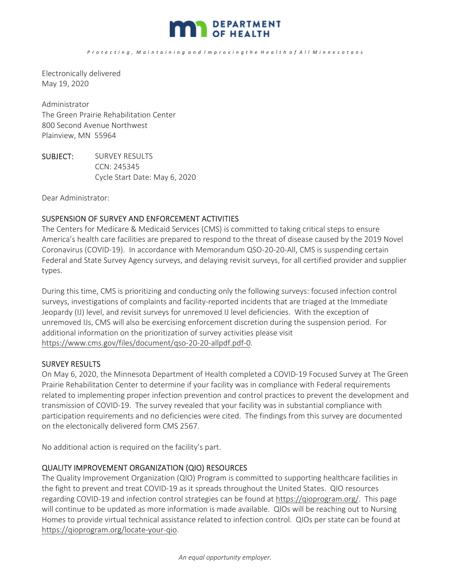

Protecting, Maintaining and Improving the Health of All Minnesotans

Electronically delivered May 19, 2020

Administrator The Green Prairie Rehabilitation Center 800 Second Avenue Northwest Plainview, MN 55964

SUBJECT: SURVEY RESULTS CCN: 245345 Cycle Start Date: May 6, 2020

Dear Administrator:

## SUSPENSION OF SURVEY AND ENFORCEMENT ACTIVITIES

The Centers for Medicare & Medicaid Services (CMS) is committed to taking critical steps to ensure America's health care facilities are prepared to respond to the threat of disease caused by the 2019 Novel Coronavirus (COVID-19). In accordance with Memorandum QSO-20-20-All, CMS is suspending certain Federal and State Survey Agency surveys, and delaying revisit surveys, for all certified provider and supplier types.

During this time, CMS is prioritizing and conducting only the following surveys: focused infection control surveys, investigations of complaints and facility-reported incidents that are triaged at the Immediate Jeopardy (IJ) level, and revisit surveys for unremoved IJ level deficiencies. With the exception of unremoved IJs, CMS will also be exercising enforcement discretion during the suspension period. For additional information on the prioritization of survey activities please visit https://www.cms.gov/files/document/qso-20-20-allpdf.pdf-0.

## SURVEY RESULTS

On May 6, 2020, the Minnesota Department of Health completed a COVID-19 Focused Survey at The Green Prairie Rehabilitation Center to determine if your facility was in compliance with Federal requirements related to implementing proper infection prevention and control practices to prevent the development and transmission of COVID-19. The survey revealed that your facility was in substantial compliance with participation requirements and no deficiencies were cited. The findings from this survey are documented on the electonically delivered form CMS 2567.

No additional action is required on the facility's part.

## QUALITY IMPROVEMENT ORGANIZATION (QIO) RESOURCES

The Quality Improvement Organization (QIO) Program is committed to supporting healthcare facilities in the fight to prevent and treat COVID-19 as it spreads throughout the United States. QIO resources regarding COVID-19 and infection control strategies can be found at https://qioprogram.org/. This page will continue to be updated as more information is made available. QIOs will be reaching out to Nursing Homes to provide virtual technical assistance related to infection control. QIOs per state can be found at https://qioprogram.org/locate-your-qio.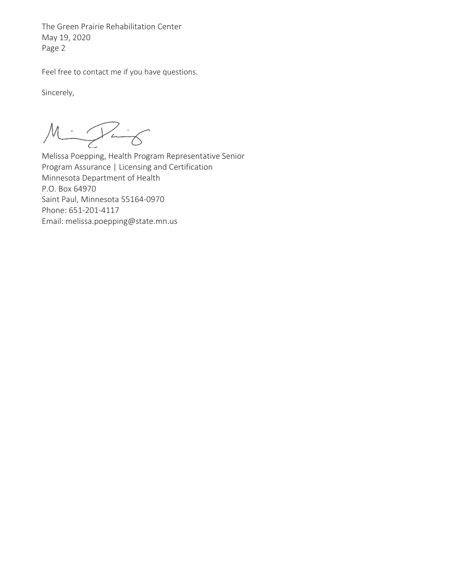The Green Prairie Rehabilitation Center May 19, 2020 Page 2

Feel free to contact me if you have questions.

Sincerely,

Mighing

Melissa Poepping, Health Program Representative Senior Program Assurance | Licensing and Certification Minnesota Department of Health P.O. Box 64970 Saint Paul, Minnesota 55164-0970 Phone: 651-201-4117 Email: melissa.poepping@state.mn.us